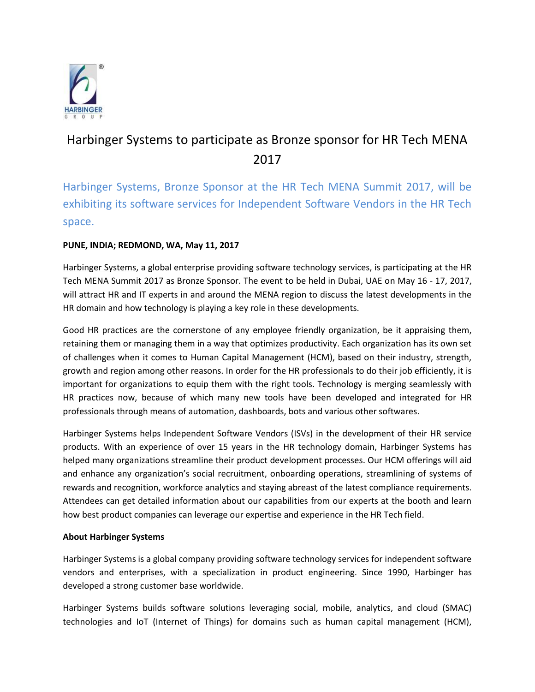

# Harbinger Systems to participate as Bronze sponsor for HR Tech MENA 2017

Harbinger Systems, Bronze Sponsor at the HR Tech MENA Summit 2017, will be exhibiting its software services for Independent Software Vendors in the HR Tech space.

## **PUNE, INDIA; REDMOND, WA, May 11, 2017**

[Harbinger Systems,](https://harbinger-systems.com/) a global enterprise providing software technology services, is participating at the HR Tech MENA Summit 2017 as Bronze Sponsor. The event to be held in Dubai, UAE on May 16 - 17, 2017, will attract HR and IT experts in and around the MENA region to discuss the latest developments in the HR domain and how technology is playing a key role in these developments.

Good HR practices are the cornerstone of any employee friendly organization, be it appraising them, retaining them or managing them in a way that optimizes productivity. Each organization has its own set of challenges when it comes to Human Capital Management (HCM), based on their industry, strength, growth and region among other reasons. In order for the HR professionals to do their job efficiently, it is important for organizations to equip them with the right tools. Technology is merging seamlessly with HR practices now, because of which many new tools have been developed and integrated for HR professionals through means of automation, dashboards, bots and various other softwares.

Harbinger Systems helps Independent Software Vendors (ISVs) in the development of their HR service products. With an experience of over 15 years in the HR technology domain, Harbinger Systems has helped many organizations streamline their product development processes. Our HCM offerings will aid and enhance any organization's social recruitment, onboarding operations, streamlining of systems of rewards and recognition, workforce analytics and staying abreast of the latest compliance requirements. Attendees can get detailed information about our capabilities from our experts at the booth and learn how best product companies can leverage our expertise and experience in the HR Tech field.

## **About Harbinger Systems**

Harbinger Systems is a global company providing software technology services for independent software vendors and enterprises, with a specialization in product engineering. Since 1990, Harbinger has developed a strong customer base worldwide.

Harbinger Systems builds software solutions leveraging social, mobile, analytics, and cloud (SMAC) technologies and IoT (Internet of Things) for domains such as human capital management (HCM),